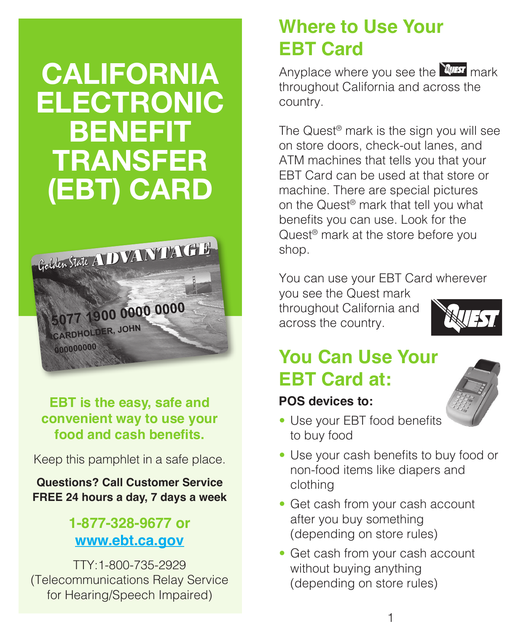# **CALIFORNIA ELECTRONIC BENEFIT TRANSFER (EBT) CARD**



**EBT is the easy, safe and convenient way to use your food and cash benefits.**

Keep this pamphlet in a safe place.

**Questions? Call Customer Service FREE 24 hours a day, 7 days a week**

#### **1-877-328-9677 or www.ebt.ca.gov**

TTY:1-800-735-2929 (Telecommunications Relay Service for Hearing/Speech Impaired)

# **Where to Use Your EBT Card**

Anyplace where you see the  $\mathbb{N}$  mark throughout California and across the country.

The Quest® mark is the sign you will see on store doors, check-out lanes, and ATM machines that tells you that your EBT Card can be used at that store or machine. There are special pictures on the Quest® mark that tell you what benefits you can use. Look for the Quest<sup>®</sup> mark at the store before you shop.

You can use your EBT Card wherever

you see the Quest mark throughout California and across the country.



# **You Can Use Your EBT Card at:**

#### **POS devices to:**



- Use your EBT food benefits to buy food
- Use your cash benefits to buy food or non-food items like diapers and clothing
- Get cash from your cash account after you buy something (depending on store rules)
- Get cash from your cash account without buying anything (depending on store rules)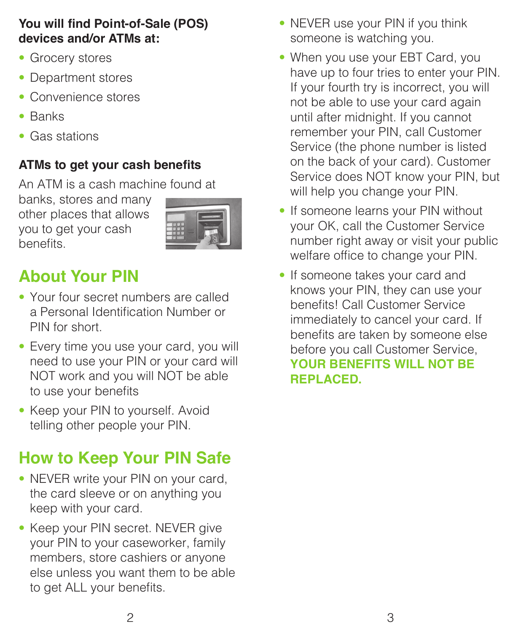#### **You will find Point-of-Sale (POS) devices and/or ATMs at:**

- Grocery stores
- Department stores
- Convenience stores
- Banks
- Gas stations

#### **ATMs to get your cash benefits**

An ATM is a cash machine found at

banks, stores and many other places that allows you to get your cash benefits.

# **About Your PIN**

- Your four secret numbers are called a Personal Identification Number or PIN for short.
- Every time you use your card, you will need to use your PIN or your card will NOT work and you will NOT be able to use your benefits
- Keep your PIN to yourself. Avoid telling other people your PIN.

# **How to Keep Your PIN Safe**

- NEVER write your PIN on your card, the card sleeve or on anything you keep with your card.
- Keep your PIN secret. NEVER give your PIN to your caseworker, family members, store cashiers or anyone else unless you want them to be able to get ALL your benefits.
- NEVER use your PIN if you think someone is watching you.
- When you use your EBT Card, you have up to four tries to enter your PIN. If your fourth try is incorrect, you will not be able to use your card again until after midnight. If you cannot remember your PIN, call Customer Service (the phone number is listed on the back of your card). Customer Service does NOT know your PIN, but will help you change your PIN.
- If someone learns your PIN without your OK, call the Customer Service number right away or visit your public welfare office to change your PIN.
- If someone takes your card and knows your PIN, they can use your benefits! Call Customer Service immediately to cancel your card. If benefits are taken by someone else before you call Customer Service, **YOUR BENEFITS WILL NOT BE REPLACED.**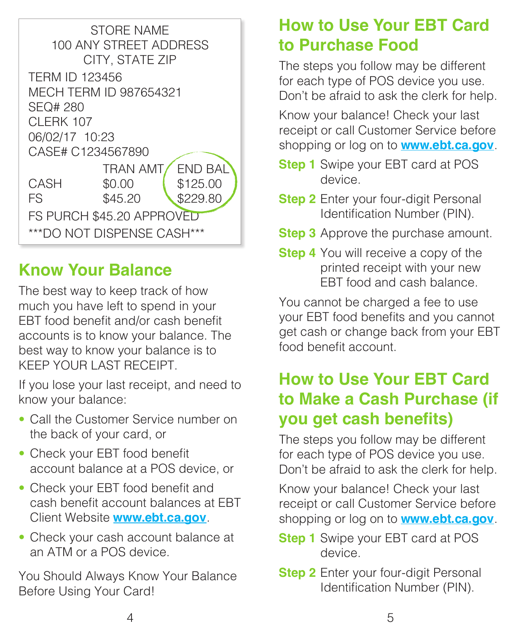

### **Know Your Balance**

The best way to keep track of how much you have left to spend in your EBT food benefit and/or cash benefit accounts is to know your balance. The best way to know your balance is to KEEP YOUR LAST RECEIPT.

If you lose your last receipt, and need to know your balance:

- Call the Customer Service number on the back of your card, or
- Check your EBT food benefit account balance at a POS device, or
- Check your EBT food benefit and cash benefit account balances at EBT Client Website **www.ebt.ca.gov**.
- Check your cash account balance at an ATM or a POS device.

You Should Always Know Your Balance Before Using Your Card!

### **How to Use Your EBT Card to Purchase Food**

The steps you follow may be different for each type of POS device you use. Don't be afraid to ask the clerk for help.

Know your balance! Check your last receipt or call Customer Service before shopping or log on to **www.ebt.ca.gov**.

- **Step 1** Swipe your EBT card at POS device.
- **Step 2** Enter your four-digit Personal Identification Number (PIN).
- **Step 3** Approve the purchase amount.
- **Step 4** You will receive a copy of the printed receipt with your new EBT food and cash balance.

You cannot be charged a fee to use your EBT food benefits and you cannot get cash or change back from your EBT food benefit account.

### **How to Use Your EBT Card to Make a Cash Purchase (if you get cash benefits)**

The steps you follow may be different for each type of POS device you use. Don't be afraid to ask the clerk for help.

Know your balance! Check your last receipt or call Customer Service before shopping or log on to **www.ebt.ca.gov**.

- **Step 1** Swipe your EBT card at POS device.
- **Step 2** Enter your four-digit Personal Identification Number (PIN).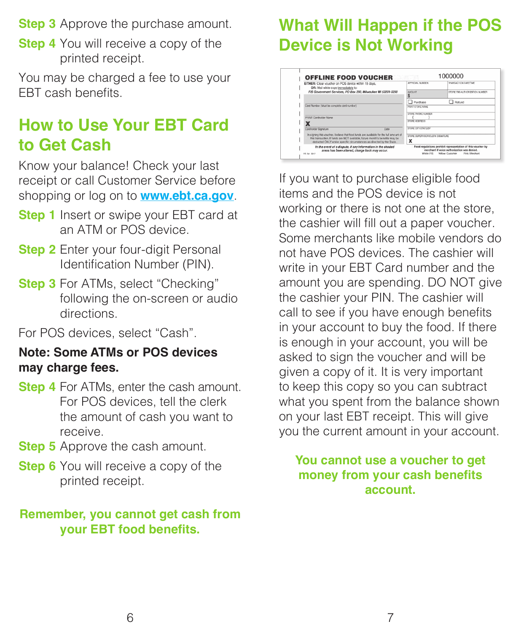**Step 3** Approve the purchase amount.

**Step 4** You will receive a copy of the printed receipt.

You may be charged a fee to use your EBT cash benefits.

#### **How to Use Your EBT Card to Get Cash**

Know your balance! Check your last receipt or call Customer Service before shopping or log on to **www.ebt.ca.gov**.

- **Step 1** Insert or swipe your EBT card at an ATM or POS device.
- **Step 2** Enter your four-digit Personal Identification Number (PIN).
- **Step 3** For ATMs, select "Checking" following the on-screen or audio directions.

For POS devices, select "Cash".

#### **Note: Some ATMs or POS devices may charge fees.**

- **Step 4** For ATMs, enter the cash amount. For POS devices, tell the clerk the amount of cash you want to receive.
- **Step 5** Approve the cash amount.
- **Step 6** You will receive a copy of the printed receipt.

#### **Remember, you cannot get cash from your EBT food benefits.**

### **What Will Happen if the POS Device is Not Working**

| EITHER: Clear youcher on POS device within 15 days.<br>OR: Mail white copy immediately to:                                                                                                                                                      | APPROVAL NUMBER                       | TRANSACTION DATE/TIME                                                                                                                            |
|-------------------------------------------------------------------------------------------------------------------------------------------------------------------------------------------------------------------------------------------------|---------------------------------------|--------------------------------------------------------------------------------------------------------------------------------------------------|
| FIS Government Services, PO Box 290, Milwaukee WI 53201-0290                                                                                                                                                                                    | <b>AMOUNT</b>                         | STORE FRS AUTHORIZATION NUMBER                                                                                                                   |
|                                                                                                                                                                                                                                                 | Purchase                              | Refund                                                                                                                                           |
| Card Number (Must be complete card number)                                                                                                                                                                                                      | PRINT STORE NAME                      |                                                                                                                                                  |
| PRINT Cardbolder Name                                                                                                                                                                                                                           | STORE PHONE MUMBER<br>STORE ADDRESS   |                                                                                                                                                  |
| Cardholder Signature<br>Date                                                                                                                                                                                                                    | STORE CITY/STATE/ZIP                  |                                                                                                                                                  |
| In signing this youcher. I believe that food funds are available for the full amount of<br>this transaction. If funds are NOT available, future month's benefits may be<br>deducted ONLY under specific circumstances as directed by the State. | STORE SUPERVISORICLERK SIGNATURE<br>x |                                                                                                                                                  |
| In the event of a dispute, if any information in the shaded<br>areas has been altered, charge back may occur.<br>RS 3st 0317                                                                                                                    | White FIS                             | Food regulations prohibit representation of this voucher by<br>merchant if voice authorization was denied.<br>Yellow: Customer<br>Pink: Marchent |

If you want to purchase eligible food items and the POS device is not working or there is not one at the store, the cashier will fill out a paper voucher. Some merchants like mobile vendors do not have POS devices. The cashier will write in your EBT Card number and the amount you are spending. DO NOT give the cashier your PIN. The cashier will call to see if you have enough benefits in your account to buy the food. If there is enough in your account, you will be asked to sign the voucher and will be given a copy of it. It is very important to keep this copy so you can subtract what you spent from the balance shown on your last EBT receipt. This will give you the current amount in your account.

#### **You cannot use a voucher to get money from your cash benefits account.**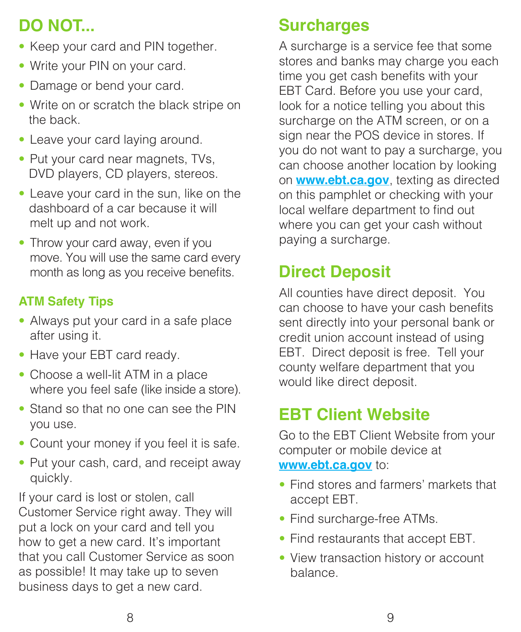# **DO NOT...**

- Keep your card and PIN together.
- Write your PIN on your card.
- Damage or bend your card.
- Write on or scratch the black stripe on the back.
- Leave your card laying around.
- Put your card near magnets, TVs, DVD players, CD players, stereos.
- Leave your card in the sun, like on the dashboard of a car because it will melt up and not work.
- Throw your card away, even if you move. You will use the same card every month as long as you receive benefits.

#### **ATM Safety Tips**

- Always put your card in a safe place after using it.
- Have your EBT card ready.
- Choose a well-lit ATM in a place where you feel safe (like inside a store).
- Stand so that no one can see the PIN you use.
- Count your money if you feel it is safe.
- Put your cash, card, and receipt away quickly.

If your card is lost or stolen, call Customer Service right away. They will put a lock on your card and tell you how to get a new card. It's important that you call Customer Service as soon as possible! It may take up to seven business days to get a new card.

### **Surcharges**

A surcharge is a service fee that some stores and banks may charge you each time you get cash benefits with your EBT Card. Before you use your card, look for a notice telling you about this surcharge on the ATM screen, or on a sign near the POS device in stores. If you do not want to pay a surcharge, you can choose another location by looking on **www.ebt.ca.gov**, texting as directed on this pamphlet or checking with your local welfare department to find out where you can get your cash without paying a surcharge.

# **Direct Deposit**

All counties have direct deposit. You can choose to have your cash benefits sent directly into your personal bank or credit union account instead of using EBT. Direct deposit is free. Tell your county welfare department that you would like direct deposit.

# **EBT Client Website**

Go to the EBT Client Website from your computer or mobile device at **www.ebt.ca.gov** to:

- Find stores and farmers' markets that accept EBT.
- Find surcharge-free ATMs.
- Find restaurants that accept EBT.
- View transaction history or account balance.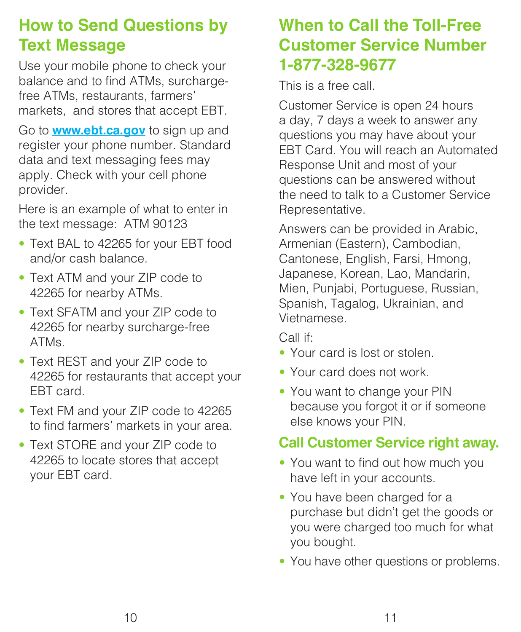## **How to Send Questions by Text Message**

Use your mobile phone to check your balance and to find ATMs, surchargefree ATMs, restaurants, farmers' markets, and stores that accept EBT.

Go to **www.ebt.ca.gov** to sign up and register your phone number. Standard data and text messaging fees may apply. Check with your cell phone provider. 

Here is an example of what to enter in the text message: ATM 90123

- Text BAL to 42265 for your EBT food and/or cash balance.
- Text ATM and your ZIP code to 42265 for nearby ATMs.
- Text SFATM and your ZIP code to 42265 for nearby surcharge-free ATMs.
- Text REST and your ZIP code to 42265 for restaurants that accept your EBT card.
- Text FM and your ZIP code to 42265 to find farmers' markets in your area.
- Text STORE and your ZIP code to 42265 to locate stores that accept your EBT card.

### **When to Call the Toll-Free Customer Service Number 1-877-328-9677**

This is a free call.

Customer Service is open 24 hours a day, 7 days a week to answer any questions you may have about your EBT Card. You will reach an Automated Response Unit and most of your questions can be answered without the need to talk to a Customer Service Representative.

Answers can be provided in Arabic, Armenian (Eastern), Cambodian, Cantonese, English, Farsi, Hmong, Japanese, Korean, Lao, Mandarin, Mien, Punjabi, Portuguese, Russian, Spanish, Tagalog, Ukrainian, and Vietnamese.

Call if:

- Your card is lost or stolen.
- Your card does not work.
- You want to change your PIN because you forgot it or if someone else knows your PIN.

#### **Call Customer Service right away.**

- You want to find out how much you have left in your accounts.
- You have been charged for a purchase but didn't get the goods or you were charged too much for what you bought.
- You have other questions or problems.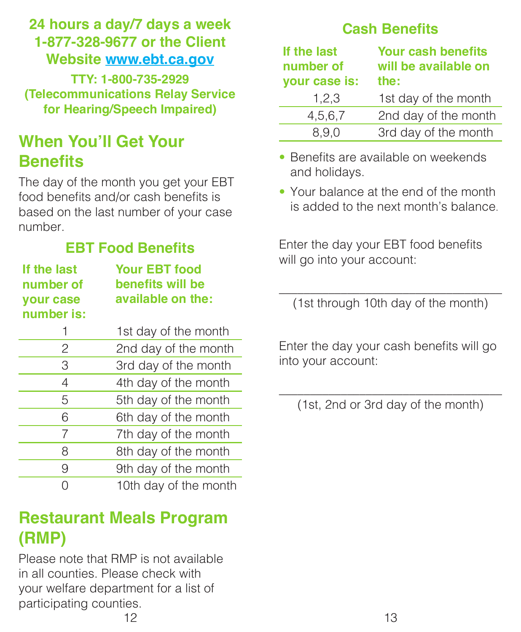#### **24 hours a day/7 days a week 1-877-328-9677 or the Client Website www.ebt.ca.gov**

**TTY: 1-800-735-2929 (Telecommunications Relay Service for Hearing/Speech Impaired)**

# **When You'll Get Your Benefits**

The day of the month you get your EBT food benefits and/or cash benefits is based on the last number of your case number.

#### **EBT Food Benefits**

| If the last<br>number of<br>your case<br>number is: | <b>Your EBT food</b><br>benefits will be<br>available on the: |
|-----------------------------------------------------|---------------------------------------------------------------|
| 1                                                   | 1st day of the month                                          |
| 2                                                   | 2nd day of the month                                          |
| 3                                                   | 3rd day of the month                                          |
| 4                                                   | 4th day of the month                                          |
| 5                                                   | 5th day of the month                                          |
| 6                                                   | 6th day of the month                                          |
| 7                                                   | 7th day of the month                                          |
| 8                                                   | 8th day of the month                                          |
| 9                                                   | 9th day of the month                                          |
| ∩                                                   | 10th day of the month                                         |

#### **Restaurant Meals Program (RMP)**

Please note that RMP is not available in all counties. Please check with your welfare department for a list of participating counties.  $12$ 

#### **Cash Benefits**

| If the last<br>number of<br>your case is: | <b>Your cash benefits</b><br>will be available on<br>the: |
|-------------------------------------------|-----------------------------------------------------------|
| 1,2,3                                     | 1st day of the month                                      |
| 4,5,6,7                                   | 2nd day of the month                                      |
| 8,9,0                                     | 3rd day of the month                                      |

- Benefits are available on weekends and holidays.
- Your balance at the end of the month is added to the next month's balance.

Enter the day your EBT food benefits will go into your account:

\_\_\_\_\_\_\_\_\_\_\_\_\_\_\_\_\_\_\_\_\_\_\_\_\_\_\_\_\_\_\_\_\_\_\_\_ (1st through 10th day of the month)

Enter the day your cash benefits will go into your account:

\_\_\_\_\_\_\_\_\_\_\_\_\_\_\_\_\_\_\_\_\_\_\_\_\_\_\_\_\_\_\_\_\_\_\_\_ (1st, 2nd or 3rd day of the month)